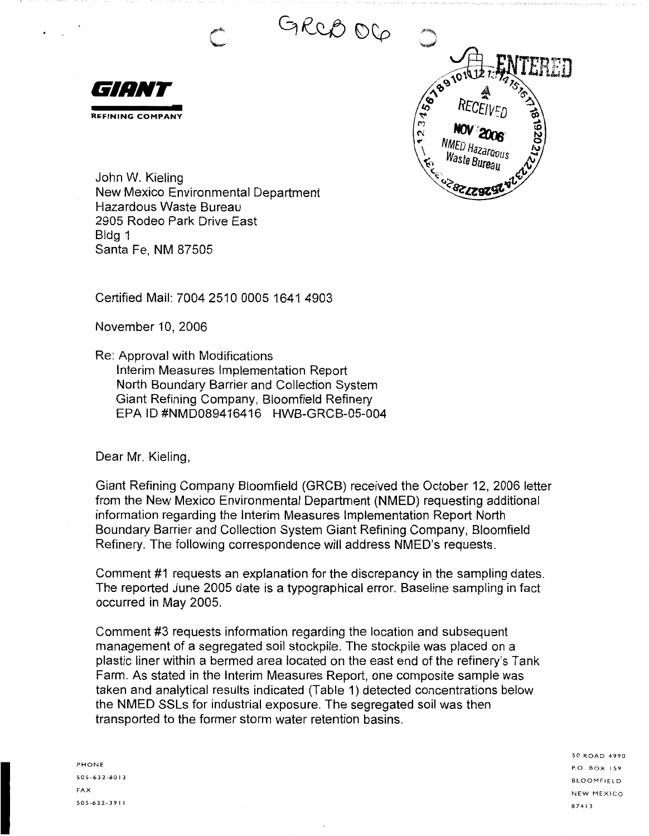GRCB OG





John W. Kieling New Mexico Environmental Department Hazardous Waste Bureau 2905 Rodeo Park Drive East Bldg 1 Santa Fe, **NM** 87505

Certified Mail: 7004 2510 0005 1641 4903

November 10, 2006

Re: Approval with Modifications Interim Measures Implementation Report North Boundary Barrier and Collection System Giant Refining Company, Bloomfield Refinery EPA ID #NMD089416416 HWB-GRCB-05-004

Dear Mr. Kieling,

Giant Refining Company Bloomfield (GRCB) received the October 12, 2006 letter from the New Mexico Environmental Department (NMED) requesting additional information regarding the Interim Measures Implementation Report North Boundary Barrier and Collection System Giant Refining Company, Bloomfield Refinery. The following correspondence will address NMED's requests.

Comment #1 requests an explanation for the discrepancy in the sampling dates. The reported June 2005 date is a typographical error. Baseline sampling in fact occurred in May 2005.

Comment #3 requests information regarding the location and subsequent management of a segregated soil stockpile. The stockpile was placed on a plastic liner within a bermed area located on the east end of the refinery's Tank Farm. As stated in the Interim Measures Report, one composite sample was taken and analytical results indicated (Table 1) detected concentrations below the NMED SSLs for industrial exposure. The segregated soil was then transported to the former storm water retention basins.

PHONE 505-632-8013 FAX 505-632-39 I I

50 ROAD 4990 P.O. BOX I 59 BLOOMFIELD NEW MEXICO 87413